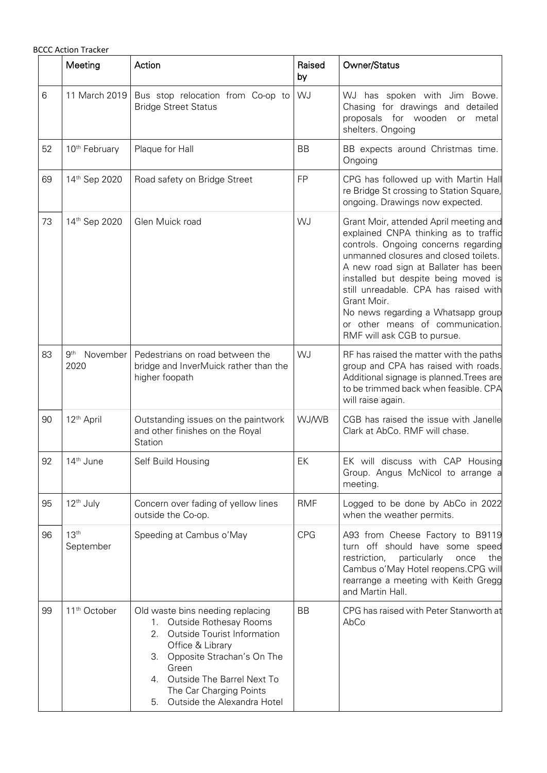|    | <b>BCCC Action Tracker</b>          |                                                                                                                                                                                                                                                                             |              |                                                                                                                                                                                                                                                                                                                                                                                                                   |
|----|-------------------------------------|-----------------------------------------------------------------------------------------------------------------------------------------------------------------------------------------------------------------------------------------------------------------------------|--------------|-------------------------------------------------------------------------------------------------------------------------------------------------------------------------------------------------------------------------------------------------------------------------------------------------------------------------------------------------------------------------------------------------------------------|
|    | Meeting                             | Action                                                                                                                                                                                                                                                                      | Raised<br>by | Owner/Status                                                                                                                                                                                                                                                                                                                                                                                                      |
| 6  | 11 March 2019                       | Bus stop relocation from Co-op to<br><b>Bridge Street Status</b>                                                                                                                                                                                                            | WJ           | WJ has spoken with Jim Bowe.<br>Chasing for drawings and detailed<br>proposals for wooden<br>metal<br>or<br>shelters. Ongoing                                                                                                                                                                                                                                                                                     |
| 52 | 10 <sup>th</sup> February           | Plaque for Hall                                                                                                                                                                                                                                                             | <b>BB</b>    | BB expects around Christmas time.<br>Ongoing                                                                                                                                                                                                                                                                                                                                                                      |
| 69 | 14th Sep 2020                       | Road safety on Bridge Street                                                                                                                                                                                                                                                | <b>FP</b>    | CPG has followed up with Martin Hall<br>re Bridge St crossing to Station Square,<br>ongoing. Drawings now expected.                                                                                                                                                                                                                                                                                               |
| 73 | 14th Sep 2020                       | Glen Muick road                                                                                                                                                                                                                                                             | WJ           | Grant Moir, attended April meeting and<br>explained CNPA thinking as to traffic<br>controls. Ongoing concerns regarding<br>unmanned closures and closed toilets.<br>A new road sign at Ballater has been<br>installed but despite being moved is<br>still unreadable. CPA has raised with<br>Grant Moir.<br>No news regarding a Whatsapp group<br>or other means of communication.<br>RMF will ask CGB to pursue. |
| 83 | 9 <sup>th</sup><br>November<br>2020 | Pedestrians on road between the<br>bridge and InverMuick rather than the<br>higher foopath                                                                                                                                                                                  | WJ           | RF has raised the matter with the paths<br>group and CPA has raised with roads.<br>Additional signage is planned. Trees are<br>to be trimmed back when feasible. CPA<br>will raise again.                                                                                                                                                                                                                         |
| 90 | 12 <sup>th</sup> April              | Outstanding issues on the paintwork<br>and other finishes on the Royal<br>Station                                                                                                                                                                                           | <b>WJ/WB</b> | CGB has raised the issue with Janelle<br>Clark at AbCo. RMF will chase.                                                                                                                                                                                                                                                                                                                                           |
| 92 | 14 <sup>th</sup> June               | Self Build Housing                                                                                                                                                                                                                                                          | EK           | EK will discuss with CAP Housing<br>Group. Angus McNicol to arrange a<br>meeting.                                                                                                                                                                                                                                                                                                                                 |
| 95 | 12 <sup>th</sup> July               | Concern over fading of yellow lines<br>outside the Co-op.                                                                                                                                                                                                                   | <b>RMF</b>   | Logged to be done by AbCo in 2022<br>when the weather permits.                                                                                                                                                                                                                                                                                                                                                    |
| 96 | 13 <sup>th</sup><br>September       | Speeding at Cambus o'May                                                                                                                                                                                                                                                    | <b>CPG</b>   | A93 from Cheese Factory to B9119<br>turn off should have some speed<br>restriction,<br>particularly<br>once<br>the<br>Cambus o'May Hotel reopens.CPG will<br>rearrange a meeting with Keith Gregg<br>and Martin Hall.                                                                                                                                                                                             |
| 99 | 11 <sup>th</sup> October            | Old waste bins needing replacing<br>1. Outside Rothesay Rooms<br><b>Outside Tourist Information</b><br>2.<br>Office & Library<br>3. Opposite Strachan's On The<br>Green<br>Outside The Barrel Next To<br>4.<br>The Car Charging Points<br>Outside the Alexandra Hotel<br>5. | <b>BB</b>    | CPG has raised with Peter Stanworth at<br>AbCo                                                                                                                                                                                                                                                                                                                                                                    |